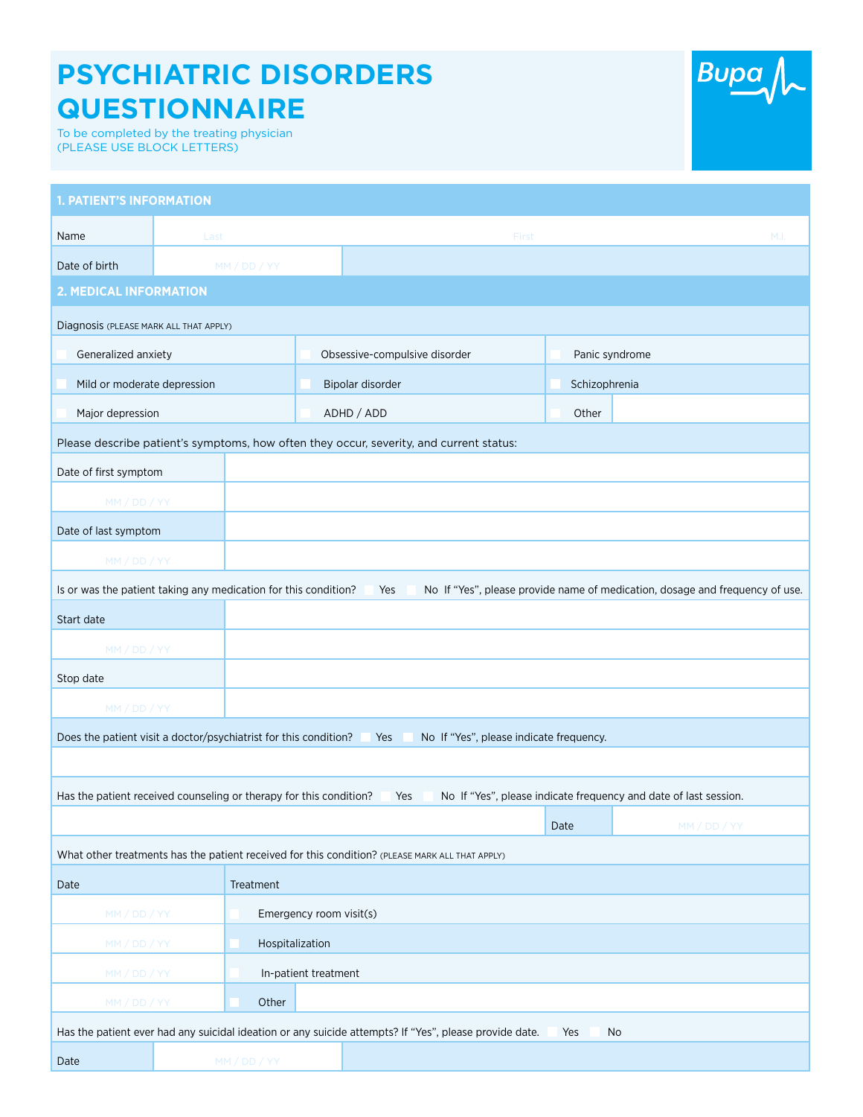## **PSYCHIATRIC DISORDERS QUESTIONNAIRE**

To be completed by the treating physician (PLEASE USE BLOCK LETTERS)

| <b>1. PATIENT'S INFORMATION</b>                                                                                                                        |              |                         |       |                               |       |                                                                  |  |  |  |
|--------------------------------------------------------------------------------------------------------------------------------------------------------|--------------|-------------------------|-------|-------------------------------|-------|------------------------------------------------------------------|--|--|--|
| Name                                                                                                                                                   | Last         |                         | First |                               | M.I.  |                                                                  |  |  |  |
| Date of birth                                                                                                                                          |              | MM / DD / YY            |       |                               |       |                                                                  |  |  |  |
| <b>2. MEDICAL INFORMATION</b>                                                                                                                          |              |                         |       |                               |       |                                                                  |  |  |  |
| Diagnosis (PLEASE MARK ALL THAT APPLY)                                                                                                                 |              |                         |       |                               |       |                                                                  |  |  |  |
| Generalized anxiety                                                                                                                                    |              |                         |       | Obsessive-compulsive disorder |       | Panic syndrome                                                   |  |  |  |
| Mild or moderate depression                                                                                                                            |              |                         |       | Bipolar disorder              |       | Schizophrenia                                                    |  |  |  |
| Major depression                                                                                                                                       |              |                         |       | ADHD / ADD                    | Other |                                                                  |  |  |  |
| Please describe patient's symptoms, how often they occur, severity, and current status:                                                                |              |                         |       |                               |       |                                                                  |  |  |  |
| Date of first symptom                                                                                                                                  |              |                         |       |                               |       |                                                                  |  |  |  |
| MM / DD / YY                                                                                                                                           |              |                         |       |                               |       |                                                                  |  |  |  |
| Date of last symptom                                                                                                                                   |              |                         |       |                               |       |                                                                  |  |  |  |
| MM / DD / YY                                                                                                                                           |              |                         |       |                               |       |                                                                  |  |  |  |
| Is or was the patient taking any medication for this condition?<br>No If "Yes", please provide name of medication, dosage and frequency of use.<br>Yes |              |                         |       |                               |       |                                                                  |  |  |  |
| Start date                                                                                                                                             |              |                         |       |                               |       |                                                                  |  |  |  |
| MM / DD / YY                                                                                                                                           |              |                         |       |                               |       |                                                                  |  |  |  |
| Stop date                                                                                                                                              |              |                         |       |                               |       |                                                                  |  |  |  |
| MM / DD / YY                                                                                                                                           |              |                         |       |                               |       |                                                                  |  |  |  |
| Does the patient visit a doctor/psychiatrist for this condition?<br>No If "Yes", please indicate frequency.<br>Yes                                     |              |                         |       |                               |       |                                                                  |  |  |  |
|                                                                                                                                                        |              |                         |       |                               |       |                                                                  |  |  |  |
| Has the patient received counseling or therapy for this condition?                                                                                     |              |                         |       | Yes                           |       | No If "Yes", please indicate frequency and date of last session. |  |  |  |
|                                                                                                                                                        |              |                         |       |                               | Date  | MM / DD / YY                                                     |  |  |  |
| What other treatments has the patient received for this condition? (PLEASE MARK ALL THAT APPLY)                                                        |              |                         |       |                               |       |                                                                  |  |  |  |
| Date                                                                                                                                                   |              | Treatment               |       |                               |       |                                                                  |  |  |  |
| MM / DD / YY                                                                                                                                           |              | Emergency room visit(s) |       |                               |       |                                                                  |  |  |  |
| MM / DD / YY                                                                                                                                           |              | Hospitalization         |       |                               |       |                                                                  |  |  |  |
| MM / DD / YY                                                                                                                                           |              | In-patient treatment    |       |                               |       |                                                                  |  |  |  |
| MM / DD / YY                                                                                                                                           |              | Other                   |       |                               |       |                                                                  |  |  |  |
| Has the patient ever had any suicidal ideation or any suicide attempts? If "Yes", please provide date.<br>Yes<br>No                                    |              |                         |       |                               |       |                                                                  |  |  |  |
| Date                                                                                                                                                   | MM / DD / YY |                         |       |                               |       |                                                                  |  |  |  |

Bupa